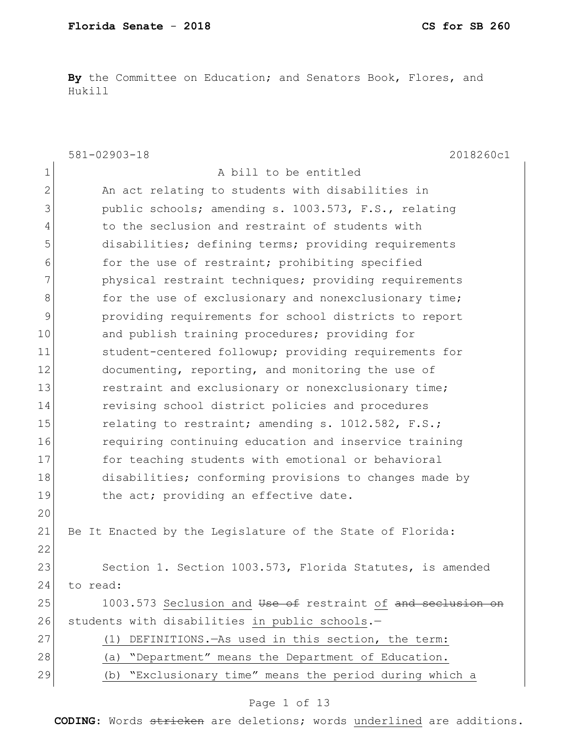**By** the Committee on Education; and Senators Book, Flores, and Hukill

|                | 581-02903-18<br>2018260c1                                   |
|----------------|-------------------------------------------------------------|
| 1              | A bill to be entitled                                       |
| $\overline{2}$ | An act relating to students with disabilities in            |
| 3              | public schools; amending s. 1003.573, F.S., relating        |
| 4              | to the seclusion and restraint of students with             |
| 5              | disabilities; defining terms; providing requirements        |
| 6              | for the use of restraint; prohibiting specified             |
| 7              | physical restraint techniques; providing requirements       |
| 8              | for the use of exclusionary and nonexclusionary time;       |
| 9              | providing requirements for school districts to report       |
| 10             | and publish training procedures; providing for              |
| 11             | student-centered followup; providing requirements for       |
| 12             | documenting, reporting, and monitoring the use of           |
| 13             | restraint and exclusionary or nonexclusionary time;         |
| 14             | revising school district policies and procedures            |
| 15             | relating to restraint; amending s. 1012.582, F.S.;          |
| 16             | requiring continuing education and inservice training       |
| 17             | for teaching students with emotional or behavioral          |
| 18             | disabilities; conforming provisions to changes made by      |
| 19             | the act; providing an effective date.                       |
| 20             |                                                             |
| 21             | Be It Enacted by the Legislature of the State of Florida:   |
| 22             |                                                             |
| 23             | Section 1. Section 1003.573, Florida Statutes, is amended   |
| 24             | to read:                                                    |
| 25             | 1003.573 Seclusion and Use of restraint of and seclusion on |
| 26             | students with disabilities in public schools.-              |
| 27             | DEFINITIONS. - As used in this section, the term:<br>(1)    |
| 28             | "Department" means the Department of Education.<br>(a)      |
| 29             | "Exclusionary time" means the period during which a<br>(b)  |

#### Page 1 of 13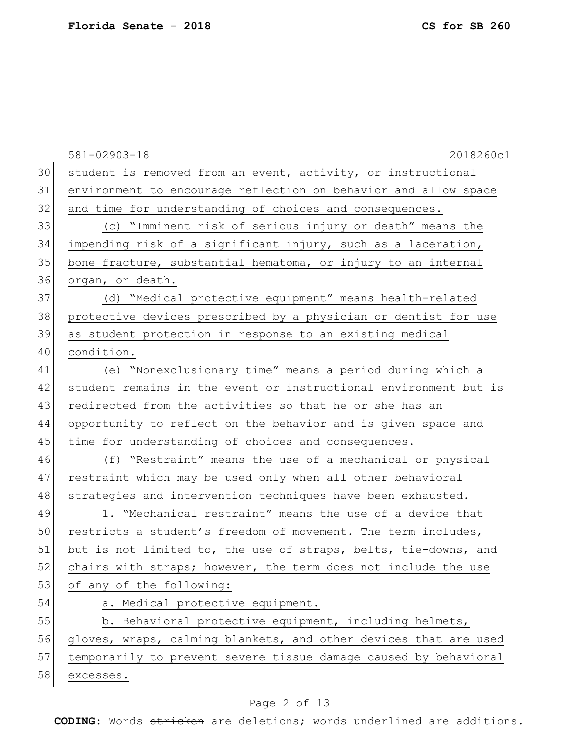581-02903-18 2018260c1 30 student is removed from an event, activity, or instructional 31 environment to encourage reflection on behavior and allow space 32 and time for understanding of choices and consequences. 33 (c) "Imminent risk of serious injury or death" means the 34 impending risk of a significant injury, such as a laceration, 35 bone fracture, substantial hematoma, or injury to an internal 36 organ, or death. 37 (d) "Medical protective equipment" means health-related 38 protective devices prescribed by a physician or dentist for use 39 as student protection in response to an existing medical 40 condition. 41 (e) "Nonexclusionary time" means a period during which a 42 student remains in the event or instructional environment but is 43 redirected from the activities so that he or she has an 44 opportunity to reflect on the behavior and is given space and 45 time for understanding of choices and consequences. 46 (f) "Restraint" means the use of a mechanical or physical 47 restraint which may be used only when all other behavioral 48 strategies and intervention techniques have been exhausted. 49 1. "Mechanical restraint" means the use of a device that 50 restricts a student's freedom of movement. The term includes, 51 but is not limited to, the use of straps, belts, tie-downs, and  $52$  chairs with straps; however, the term does not include the use 53 of any of the following: 54 a. Medical protective equipment. 55 b. Behavioral protective equipment, including helmets, 56 gloves, wraps, calming blankets, and other devices that are used 57 temporarily to prevent severe tissue damage caused by behavioral 58 excesses.

#### Page 2 of 13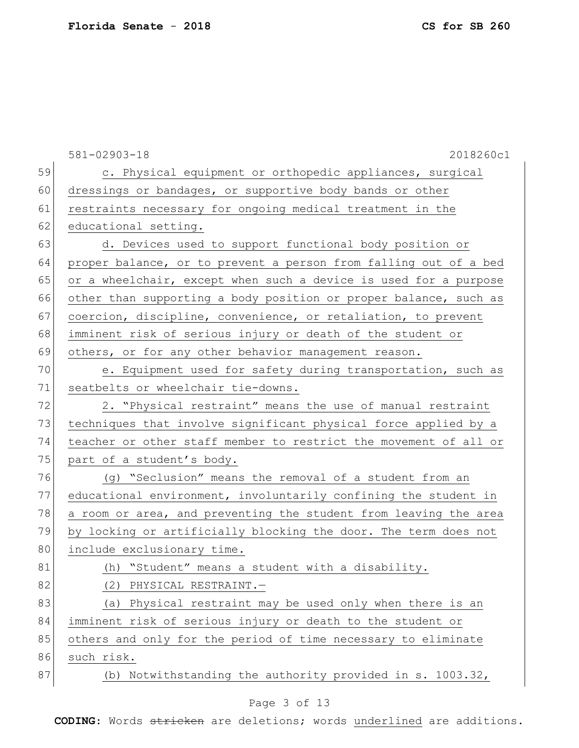|    | $581 - 02903 - 18$<br>2018260c1                                  |
|----|------------------------------------------------------------------|
| 59 | c. Physical equipment or orthopedic appliances, surgical         |
| 60 | dressings or bandages, or supportive body bands or other         |
| 61 | restraints necessary for ongoing medical treatment in the        |
| 62 | educational setting.                                             |
| 63 | d. Devices used to support functional body position or           |
| 64 | proper balance, or to prevent a person from falling out of a bed |
| 65 | or a wheelchair, except when such a device is used for a purpose |
| 66 | other than supporting a body position or proper balance, such as |
| 67 | coercion, discipline, convenience, or retaliation, to prevent    |
| 68 | imminent risk of serious injury or death of the student or       |
| 69 | others, or for any other behavior management reason.             |
| 70 | e. Equipment used for safety during transportation, such as      |
| 71 | seatbelts or wheelchair tie-downs.                               |
| 72 | 2. "Physical restraint" means the use of manual restraint        |
| 73 | techniques that involve significant physical force applied by a  |
| 74 | teacher or other staff member to restrict the movement of all or |
| 75 | part of a student's body.                                        |
| 76 | (q) "Seclusion" means the removal of a student from an           |
| 77 | educational environment, involuntarily confining the student in  |
| 78 | a room or area, and preventing the student from leaving the area |
| 79 | by locking or artificially blocking the door. The term does not  |
| 80 | include exclusionary time.                                       |
| 81 | (h) "Student" means a student with a disability.                 |
| 82 | (2)<br>PHYSICAL RESTRAINT.-                                      |
| 83 | (a) Physical restraint may be used only when there is an         |
| 84 | imminent risk of serious injury or death to the student or       |
| 85 | others and only for the period of time necessary to eliminate    |
| 86 | such risk.                                                       |
| 87 | (b) Notwithstanding the authority provided in s. 1003.32,        |
|    |                                                                  |

#### Page 3 of 13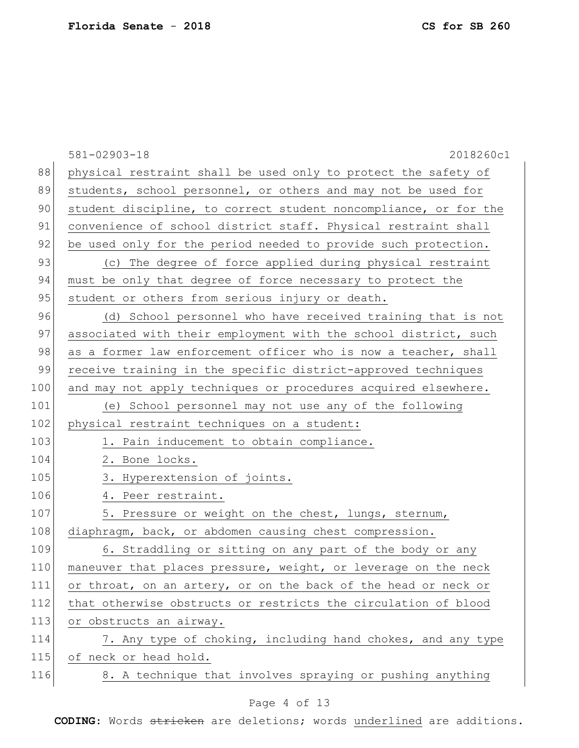|     | $581 - 02903 - 18$<br>2018260c1                                  |
|-----|------------------------------------------------------------------|
| 88  | physical restraint shall be used only to protect the safety of   |
| 89  | students, school personnel, or others and may not be used for    |
| 90  | student discipline, to correct student noncompliance, or for the |
| 91  | convenience of school district staff. Physical restraint shall   |
| 92  | be used only for the period needed to provide such protection.   |
| 93  | (c) The degree of force applied during physical restraint        |
| 94  | must be only that degree of force necessary to protect the       |
| 95  | student or others from serious injury or death.                  |
| 96  | (d) School personnel who have received training that is not      |
| 97  | associated with their employment with the school district, such  |
| 98  | as a former law enforcement officer who is now a teacher, shall  |
| 99  | receive training in the specific district-approved techniques    |
| 100 | and may not apply techniques or procedures acquired elsewhere.   |
| 101 | (e) School personnel may not use any of the following            |
| 102 | physical restraint techniques on a student:                      |
| 103 | 1. Pain inducement to obtain compliance.                         |
| 104 | 2. Bone locks.                                                   |
| 105 | 3. Hyperextension of joints.                                     |
| 106 | 4. Peer restraint.                                               |
| 107 | 5. Pressure or weight on the chest, lungs, sternum,              |
| 108 | diaphragm, back, or abdomen causing chest compression.           |
| 109 | 6. Straddling or sitting on any part of the body or any          |
| 110 | maneuver that places pressure, weight, or leverage on the neck   |
| 111 | or throat, on an artery, or on the back of the head or neck or   |
| 112 | that otherwise obstructs or restricts the circulation of blood   |
| 113 | or obstructs an airway.                                          |
| 114 | 7. Any type of choking, including hand chokes, and any type      |
| 115 | of neck or head hold.                                            |
| 116 | 8. A technique that involves spraying or pushing anything        |
|     | Page 4 of 13                                                     |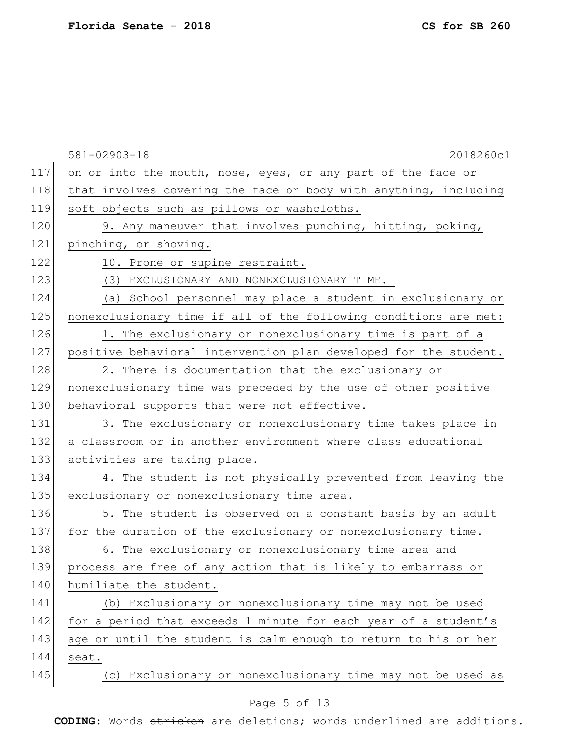|     | 2018260c1<br>$581 - 02903 - 18$                                  |
|-----|------------------------------------------------------------------|
| 117 | on or into the mouth, nose, eyes, or any part of the face or     |
| 118 | that involves covering the face or body with anything, including |
| 119 | soft objects such as pillows or washcloths.                      |
| 120 | 9. Any maneuver that involves punching, hitting, poking,         |
| 121 | pinching, or shoving.                                            |
| 122 | 10. Prone or supine restraint.                                   |
| 123 | (3) EXCLUSIONARY AND NONEXCLUSIONARY TIME.-                      |
| 124 | (a) School personnel may place a student in exclusionary or      |
| 125 | nonexclusionary time if all of the following conditions are met: |
| 126 | 1. The exclusionary or nonexclusionary time is part of a         |
| 127 | positive behavioral intervention plan developed for the student. |
| 128 | 2. There is documentation that the exclusionary or               |
| 129 | nonexclusionary time was preceded by the use of other positive   |
| 130 | behavioral supports that were not effective.                     |
| 131 | 3. The exclusionary or nonexclusionary time takes place in       |
| 132 | a classroom or in another environment where class educational    |
| 133 | activities are taking place.                                     |
| 134 | 4. The student is not physically prevented from leaving the      |
| 135 | exclusionary or nonexclusionary time area.                       |
| 136 | 5. The student is observed on a constant basis by an adult       |
| 137 | for the duration of the exclusionary or nonexclusionary time.    |
| 138 | 6. The exclusionary or nonexclusionary time area and             |
| 139 | process are free of any action that is likely to embarrass or    |
| 140 | humiliate the student.                                           |
| 141 | (b) Exclusionary or nonexclusionary time may not be used         |
| 142 | for a period that exceeds 1 minute for each year of a student's  |
| 143 | age or until the student is calm enough to return to his or her  |
| 144 | seat.                                                            |
| 145 | (c) Exclusionary or nonexclusionary time may not be used as      |
|     |                                                                  |

# Page 5 of 13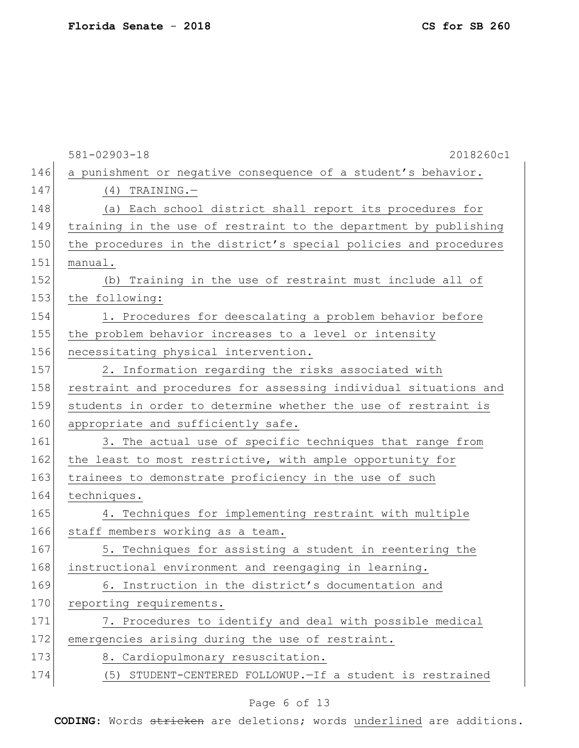|     | 581-02903-18<br>2018260c1                                        |
|-----|------------------------------------------------------------------|
| 146 | a punishment or negative consequence of a student's behavior.    |
| 147 | $(4)$ TRAINING.                                                  |
| 148 | (a) Each school district shall report its procedures for         |
| 149 | training in the use of restraint to the department by publishing |
| 150 | the procedures in the district's special policies and procedures |
| 151 | manual.                                                          |
| 152 | (b) Training in the use of restraint must include all of         |
| 153 | the following:                                                   |
| 154 | 1. Procedures for deescalating a problem behavior before         |
| 155 | the problem behavior increases to a level or intensity           |
| 156 | necessitating physical intervention.                             |
| 157 | 2. Information regarding the risks associated with               |
| 158 | restraint and procedures for assessing individual situations and |
| 159 | students in order to determine whether the use of restraint is   |
| 160 | appropriate and sufficiently safe.                               |
| 161 | 3. The actual use of specific techniques that range from         |
| 162 | the least to most restrictive, with ample opportunity for        |
| 163 | trainees to demonstrate proficiency in the use of such           |
| 164 | techniques.                                                      |
| 165 | 4. Techniques for implementing restraint with multiple           |
| 166 | staff members working as a team.                                 |
| 167 | 5. Techniques for assisting a student in reentering the          |
| 168 | instructional environment and reengaging in learning.            |
| 169 | 6. Instruction in the district's documentation and               |
| 170 | reporting requirements.                                          |
| 171 | 7. Procedures to identify and deal with possible medical         |
| 172 | emergencies arising during the use of restraint.                 |
| 173 | 8. Cardiopulmonary resuscitation.                                |
| 174 | (5) STUDENT-CENTERED FOLLOWUP. - If a student is restrained      |
|     |                                                                  |

# Page 6 of 13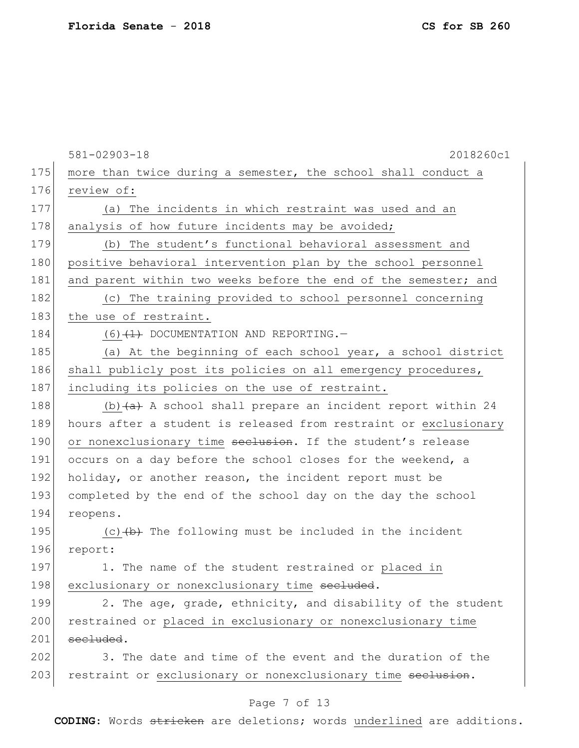|     | $581 - 02903 - 18$<br>2018260c1                                  |
|-----|------------------------------------------------------------------|
| 175 | more than twice during a semester, the school shall conduct a    |
| 176 | review of:                                                       |
| 177 | (a) The incidents in which restraint was used and an             |
| 178 | analysis of how future incidents may be avoided;                 |
| 179 | (b) The student's functional behavioral assessment and           |
| 180 | positive behavioral intervention plan by the school personnel    |
| 181 | and parent within two weeks before the end of the semester; and  |
| 182 | (c) The training provided to school personnel concerning         |
| 183 | the use of restraint.                                            |
| 184 | $(6)$ $(1)$ DOCUMENTATION AND REPORTING.                         |
| 185 | (a) At the beginning of each school year, a school district      |
| 186 | shall publicly post its policies on all emergency procedures,    |
| 187 | including its policies on the use of restraint.                  |
| 188 | (b) $(a)$ A school shall prepare an incident report within 24    |
| 189 | hours after a student is released from restraint or exclusionary |
| 190 | or nonexclusionary time seclusion. If the student's release      |
| 191 | occurs on a day before the school closes for the weekend, a      |
| 192 | holiday, or another reason, the incident report must be          |
| 193 | completed by the end of the school day on the day the school     |
| 194 | reopens.                                                         |
| 195 | $(c)$ $(b)$ The following must be included in the incident       |
| 196 | report:                                                          |
| 197 | 1. The name of the student restrained or placed in               |
| 198 | exclusionary or nonexclusionary time secluded.                   |
| 199 | 2. The age, grade, ethnicity, and disability of the student      |
| 200 | restrained or placed in exclusionary or nonexclusionary time     |
| 201 | secluded.                                                        |
| 202 | 3. The date and time of the event and the duration of the        |
| 203 | restraint or exclusionary or nonexclusionary time seclusion.     |
|     |                                                                  |

# Page 7 of 13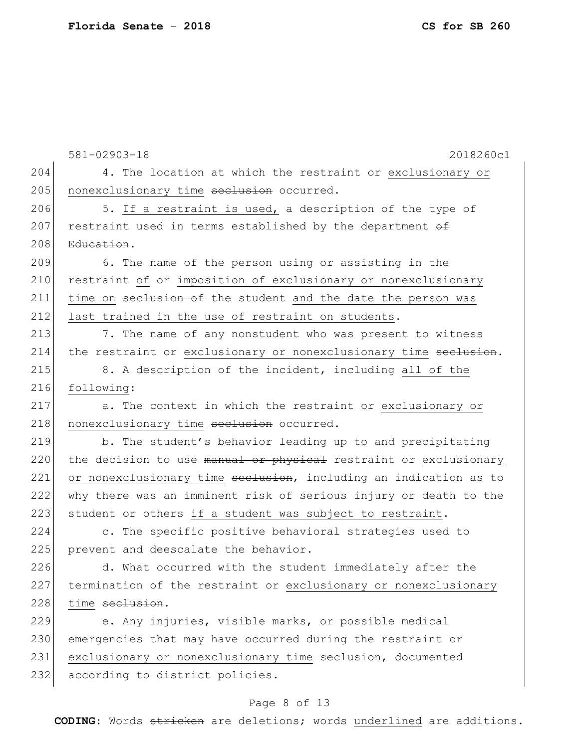|     | $581 - 02903 - 18$<br>2018260c1                                  |
|-----|------------------------------------------------------------------|
| 204 | 4. The location at which the restraint or exclusionary or        |
| 205 | nonexclusionary time seclusion occurred.                         |
| 206 |                                                                  |
|     | 5. If a restraint is used, a description of the type of          |
| 207 | restraint used in terms established by the department of         |
| 208 | Education.                                                       |
| 209 | 6. The name of the person using or assisting in the              |
| 210 | restraint of or imposition of exclusionary or nonexclusionary    |
| 211 | time on seclusion of the student and the date the person was     |
| 212 | last trained in the use of restraint on students.                |
| 213 | 7. The name of any nonstudent who was present to witness         |
| 214 | the restraint or exclusionary or nonexclusionary time seclusion. |
| 215 | 8. A description of the incident, including all of the           |
| 216 | following:                                                       |
| 217 | a. The context in which the restraint or exclusionary or         |
| 218 | nonexclusionary time seclusion occurred.                         |
| 219 | b. The student's behavior leading up to and precipitating        |
| 220 | the decision to use manual or physical restraint or exclusionary |
| 221 | or nonexclusionary time seclusion, including an indication as to |
| 222 | why there was an imminent risk of serious injury or death to the |
| 223 | student or others if a student was subject to restraint.         |
| 224 | c. The specific positive behavioral strategies used to           |
| 225 | prevent and deescalate the behavior.                             |
| 226 | d. What occurred with the student immediately after the          |
| 227 | termination of the restraint or exclusionary or nonexclusionary  |
| 228 | time seclusion.                                                  |
| 229 | e. Any injuries, visible marks, or possible medical              |
| 230 | emergencies that may have occurred during the restraint or       |
| 231 | exclusionary or nonexclusionary time seclusion, documented       |
| 232 | according to district policies.                                  |

# Page 8 of 13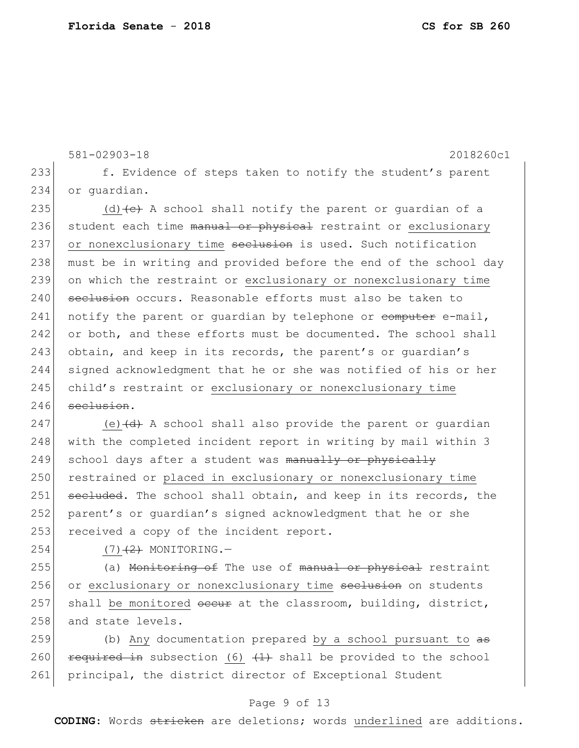581-02903-18 2018260c1 233 f. Evidence of steps taken to notify the student's parent 234 or quardian. 235 (d)  $\left( e \right)$  A school shall notify the parent or quardian of a 236 student each time manual or physical restraint or exclusionary 237 or nonexclusionary time seclusion is used. Such notification 238 must be in writing and provided before the end of the school day 239 on which the restraint or exclusionary or nonexclusionary time 240 seclusion occurs. Reasonable efforts must also be taken to 241 notify the parent or quardian by telephone or  $\overline{complete}$  e-mail, 242 or both, and these efforts must be documented. The school shall 243 obtain, and keep in its records, the parent's or guardian's 244 signed acknowledgment that he or she was notified of his or her 245 child's restraint or exclusionary or nonexclusionary time 246 seclusion.

247 (e)  $\left(\frac{d}{dt}\right)$  A school shall also provide the parent or quardian 248 with the completed incident report in writing by mail within 3 249 school days after a student was manually or physically 250 restrained or placed in exclusionary or nonexclusionary time 251 secluded. The school shall obtain, and keep in its records, the 252 parent's or quardian's signed acknowledgment that he or she 253 received a copy of the incident report.

 $254$  (7)<del>(2)</del> MONITORING.

255 (a) Monitoring of The use of manual or physical restraint 256 or exclusionary or nonexclusionary time seclusion on students 257 shall be monitored occur at the classroom, building, district, 258 and state levels.

259  $\vert$  (b) Any documentation prepared by a school pursuant to  $a\overline{s}$ 260 required in subsection (6)  $(1)$  shall be provided to the school 261 principal, the district director of Exceptional Student

#### Page 9 of 13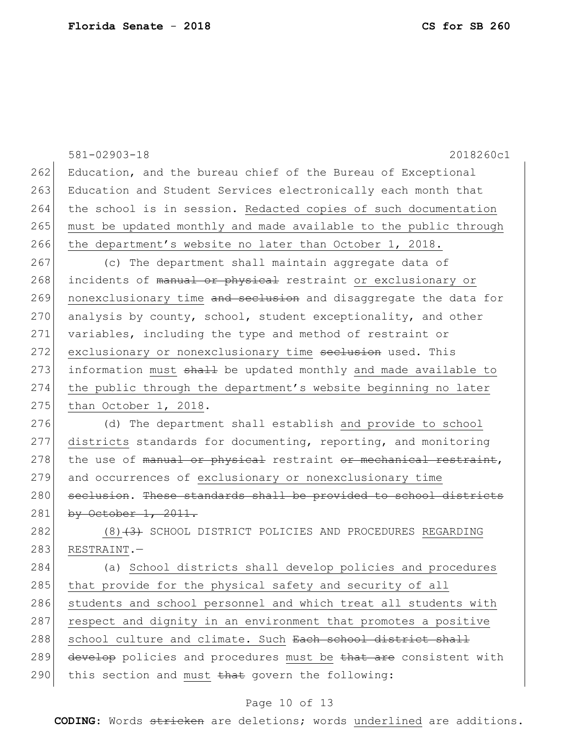|     | $581 - 02903 - 18$<br>2018260c1                                  |
|-----|------------------------------------------------------------------|
| 262 | Education, and the bureau chief of the Bureau of Exceptional     |
| 263 | Education and Student Services electronically each month that    |
| 264 | the school is in session. Redacted copies of such documentation  |
| 265 | must be updated monthly and made available to the public through |
| 266 | the department's website no later than October 1, 2018.          |
| 267 | (c) The department shall maintain aggregate data of              |
| 268 | incidents of manual or physical restraint or exclusionary or     |
| 269 | nonexclusionary time and seclusion and disaggregate the data for |
| 270 | analysis by county, school, student exceptionality, and other    |
| 271 | variables, including the type and method of restraint or         |
| 272 | exclusionary or nonexclusionary time seelusion used. This        |
| 273 | information must shall be updated monthly and made available to  |
| 274 | the public through the department's website beginning no later   |
| 275 | than October 1, 2018.                                            |
| 276 | (d) The department shall establish and provide to school         |
| 277 | districts standards for documenting, reporting, and monitoring   |
| 278 | the use of manual or physical restraint or mechanical restraint, |
| 279 | and occurrences of exclusionary or nonexclusionary time          |
| 280 | seclusion. These standards shall be provided to school districts |
| 281 | by October $1, 2011.$                                            |
| 282 | $(8)$ $(3)$ SCHOOL DISTRICT POLICIES AND PROCEDURES REGARDING    |
| 283 | RESTRAINT.-                                                      |
| 284 | (a) School districts shall develop policies and procedures       |
| 285 | that provide for the physical safety and security of all         |
| 286 | students and school personnel and which treat all students with  |
| 287 | respect and dignity in an environment that promotes a positive   |
| 288 | school culture and climate. Such Each school district shall      |
| 289 | develop policies and procedures must be that are consistent with |
| 290 | this section and must that govern the following:                 |

# Page 10 of 13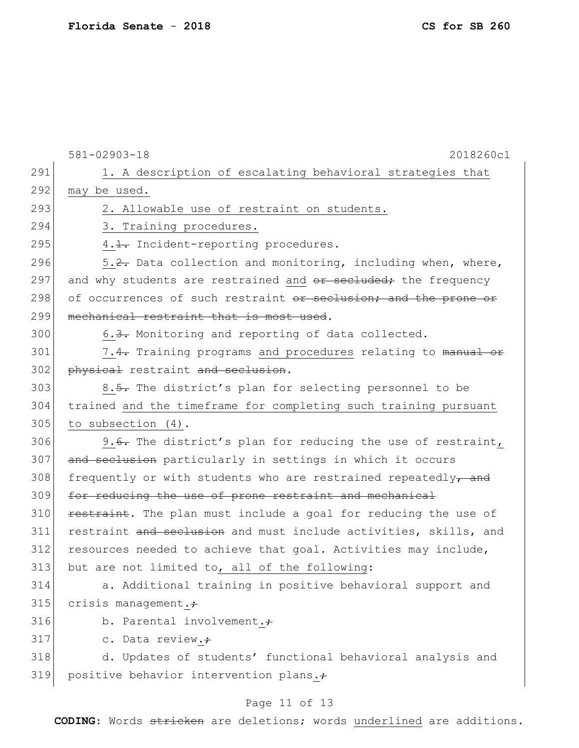|     | $581 - 02903 - 18$<br>2018260c1                                  |
|-----|------------------------------------------------------------------|
| 291 | 1. A description of escalating behavioral strategies that        |
| 292 | may be used.                                                     |
| 293 | 2. Allowable use of restraint on students.                       |
| 294 | 3. Training procedures.                                          |
| 295 | 4.1. Incident-reporting procedures.                              |
| 296 | 5.2. Data collection and monitoring, including when, where,      |
| 297 | and why students are restrained and or secluded; the frequency   |
| 298 | of occurrences of such restraint or seclusion; and the prone or  |
| 299 | mechanical restraint that is most used.                          |
| 300 | 6.3. Monitoring and reporting of data collected.                 |
| 301 | 7.4. Training programs and procedures relating to manual or      |
| 302 | physical restraint and seclusion.                                |
| 303 | 8.5. The district's plan for selecting personnel to be           |
| 304 | trained and the timeframe for completing such training pursuant  |
| 305 | to subsection (4).                                               |
| 306 | 9.6. The district's plan for reducing the use of restraint,      |
| 307 | and seclusion particularly in settings in which it occurs        |
| 308 | frequently or with students who are restrained repeatedly, and   |
| 309 | for reducing the use of prone restraint and mechanical           |
| 310 | restraint. The plan must include a goal for reducing the use of  |
| 311 | restraint and seclusion and must include activities, skills, and |
| 312 | resources needed to achieve that goal. Activities may include,   |
| 313 | but are not limited to, all of the following:                    |
| 314 | a. Additional training in positive behavioral support and        |
| 315 | crisis management. $\div$                                        |
| 316 | b. Parental involvement.;                                        |
| 317 | c. Data review.+                                                 |
| 318 | d. Updates of students' functional behavioral analysis and       |
| 319 | positive behavior intervention plans.+                           |
|     | Page 11 of 13                                                    |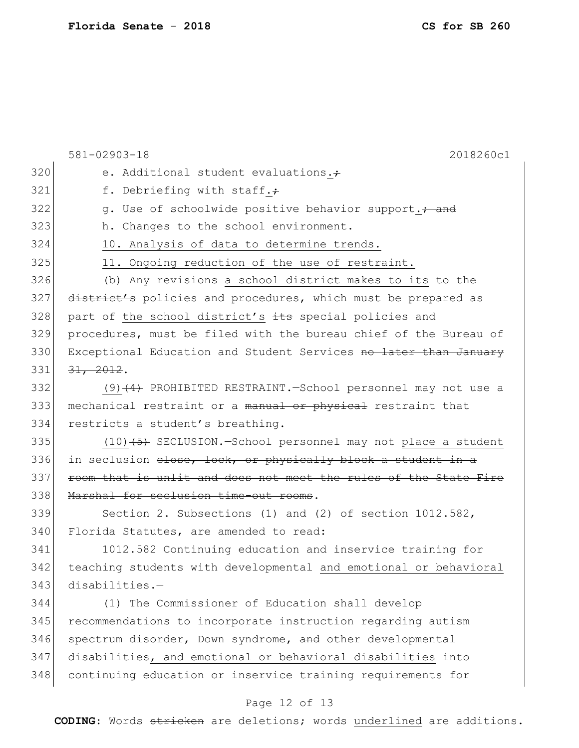|     | $581 - 02903 - 18$<br>2018260c1                                         |
|-----|-------------------------------------------------------------------------|
| 320 | e. Additional student evaluations.+                                     |
| 321 | f. Debriefing with staff.+                                              |
| 322 | g. Use of schoolwide positive behavior support.; and                    |
| 323 | h. Changes to the school environment.                                   |
| 324 | 10. Analysis of data to determine trends.                               |
| 325 | 11. Ongoing reduction of the use of restraint.                          |
| 326 | (b) Any revisions a school district makes to its to the                 |
| 327 | district's policies and procedures, which must be prepared as           |
| 328 | part of the school district's its special policies and                  |
| 329 | procedures, must be filed with the bureau chief of the Bureau of        |
| 330 | Exceptional Education and Student Services no later than January        |
| 331 | 31, 2012.                                                               |
| 332 | $(9)$ (4) PROHIBITED RESTRAINT. School personnel may not use a          |
| 333 | mechanical restraint or a manual or physical restraint that             |
| 334 | restricts a student's breathing.                                        |
| 335 | $(10)$ $(5)$ SECLUSION.-School personnel may not place a student        |
| 336 | in seclusion <del>close, lock, or physically block a student in a</del> |
| 337 | room that is unlit and does not meet the rules of the State Fire        |
| 338 | Marshal for seclusion time-out rooms.                                   |
| 339 | Section 2. Subsections (1) and (2) of section $1012.582$ ,              |
| 340 | Florida Statutes, are amended to read:                                  |
| 341 | 1012.582 Continuing education and inservice training for                |
| 342 | teaching students with developmental and emotional or behavioral        |
| 343 | $disabilities. -$                                                       |
| 344 | (1) The Commissioner of Education shall develop                         |
| 345 | recommendations to incorporate instruction regarding autism             |
| 346 | spectrum disorder, Down syndrome, and other developmental               |
| 347 | disabilities, and emotional or behavioral disabilities into             |
| 348 | continuing education or inservice training requirements for             |
|     | Page 12 of 13                                                           |

**CODING**: Words stricken are deletions; words underlined are additions.